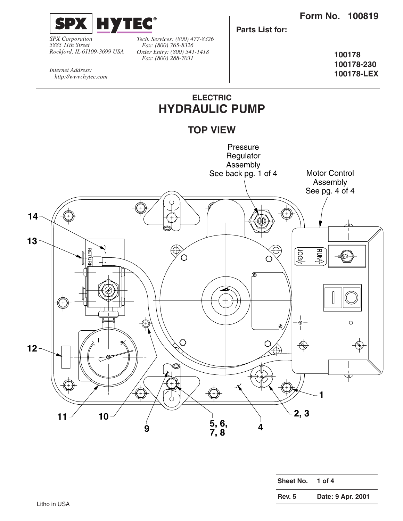**100178-230 100178-LEX**



*SPX Corporation 5885 11th Street Rockford, IL 61109-3699 USA* *Tech. Services: (800) 477-8326 Fax: (800) 765-8326 Order Entry: (800) 541-1418 Fax: (800) 288-7031*

**100178**

*Internet Address: http://www.hytec.com*

## **ELECTRIC HYDRAULIC PUMP**

**Parts List for:**





| Sheet No.     | 1 of $4$          |
|---------------|-------------------|
| <b>Rev. 5</b> | Date: 9 Apr. 2001 |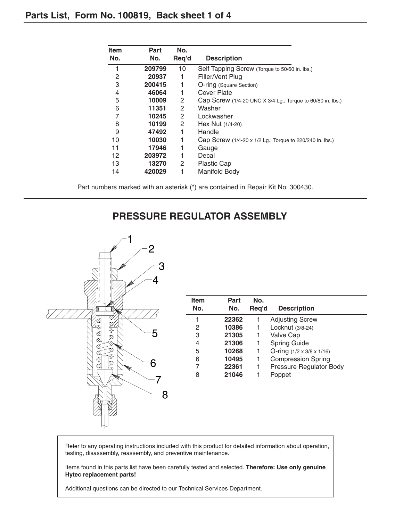| <b>Item</b> | Part   | No.   |                                                            |
|-------------|--------|-------|------------------------------------------------------------|
| No.         | No.    | Req'd | <b>Description</b>                                         |
|             | 209799 | 10    | Self Tapping Screw (Torque to 50/60 in. lbs.)              |
| 2           | 20937  | 1     | Filler/Vent Plug                                           |
| 3           | 200415 |       | O-ring (Square Section)                                    |
| 4           | 46064  | 1     | Cover Plate                                                |
| 5           | 10009  | 2     | Cap Screw (1/4-20 UNC X 3/4 Lg.; Torque to 60/80 in. lbs.) |
| 6           | 11351  | 2     | Washer                                                     |
| 7           | 10245  | 2     | Lockwasher                                                 |
| 8           | 10199  | 2     | Hex Nut $(1/4-20)$                                         |
| 9           | 47492  |       | Handle                                                     |
| 10          | 10030  | 1     | Cap Screw (1/4-20 x 1/2 Lg.; Torque to 220/240 in. lbs.)   |
| 11          | 17946  |       | Gauge                                                      |
| 12          | 203972 |       | Decal                                                      |
| 13          | 13270  | 2     | Plastic Cap                                                |
| 14          | 420029 |       | Manifold Body                                              |

Part numbers marked with an asterisk (\*) are contained in Repair Kit No. 300430.

### **PRESSURE REGULATOR ASSEMBLY**



| Item<br>No. | Part<br>No. | No.<br>Req'd | <b>Description</b>                    |
|-------------|-------------|--------------|---------------------------------------|
| 1           | 22362       |              | <b>Adjusting Screw</b>                |
| 2           | 10386       | 1            | Locknut (3/8-24)                      |
| 3           | 21305       | 1            | Valve Cap                             |
| 4           | 21306       | 1            | <b>Spring Guide</b>                   |
| 5           | 10268       | 1            | O-ring $(1/2 \times 3/8 \times 1/16)$ |
| 6           | 10495       | 1            | <b>Compression Spring</b>             |
| 7           | 22361       | 1            | Pressure Regulator Body               |
| 8           | 21046       | 1            | Poppet                                |
|             |             |              |                                       |
|             |             |              |                                       |

Refer to any operating instructions included with this product for detailed information about operation, testing, disassembly, reassembly, and preventive maintenance.

Items found in this parts list have been carefully tested and selected. **Therefore: Use only genuine Hytec replacement parts!**

Additional questions can be directed to our Technical Services Department.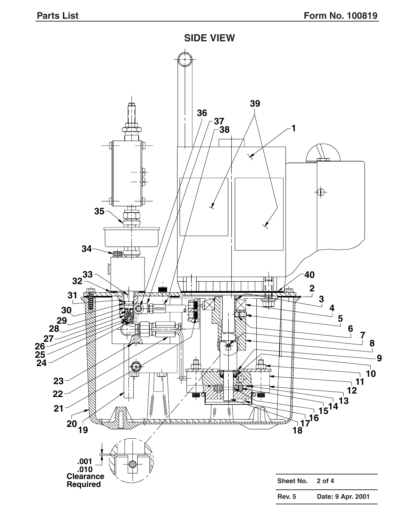

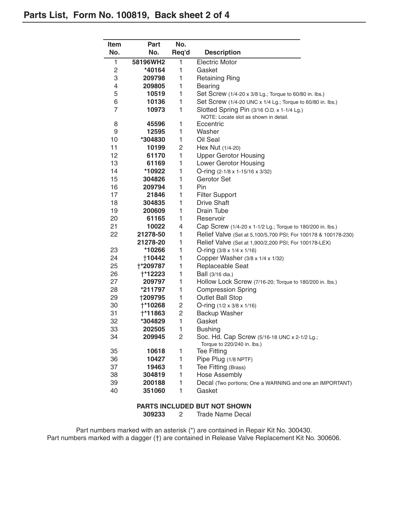| Item                    | <b>Part</b>     | No.            |                                                                                     |  |
|-------------------------|-----------------|----------------|-------------------------------------------------------------------------------------|--|
| No.                     | No.             | Req'd          | <b>Description</b>                                                                  |  |
| 1                       | 58196WH2        | 1              | <b>Electric Motor</b>                                                               |  |
| $\overline{\mathbf{c}}$ | *40164          | 1              | Gasket                                                                              |  |
| 3                       | 209798          | 1              | <b>Retaining Ring</b>                                                               |  |
| 4                       | 209805          | 1              | <b>Bearing</b>                                                                      |  |
| 5                       | 10519           | 1              | Set Screw (1/4-20 x 3/8 Lg.; Torque to 60/80 in. lbs.)                              |  |
| 6                       | 10136           | 1              | Set Screw (1/4-20 UNC x 1/4 Lg.; Torque to 60/80 in. lbs.)                          |  |
| $\overline{7}$          | 10973           | $\mathbf{1}$   | Slotted Spring Pin (3/16 O.D. x 1-1/4 Lg.)<br>NOTE: Locate slot as shown in detail. |  |
| 8                       | 45596           | 1              | Eccentric                                                                           |  |
| 9                       | 12595           | 1              | Washer                                                                              |  |
| 10                      | *304830         | 1              | Oil Seal                                                                            |  |
| 11                      | 10199           | 2              | Hex Nut (1/4-20)                                                                    |  |
| 12                      | 61170           | 1              | <b>Upper Gerotor Housing</b>                                                        |  |
| 13                      | 61169           | 1              | Lower Gerotor Housing                                                               |  |
| 14                      | *10922          | 1              | O-ring (2-1/8 x 1-15/16 x 3/32)                                                     |  |
| 15                      | 304826          | 1              | Gerotor Set                                                                         |  |
| 16                      | 209794          | 1              | Pin                                                                                 |  |
| 17                      | 21846           | 1              | <b>Filter Support</b>                                                               |  |
| 18                      | 304835          | 1              | <b>Drive Shaft</b>                                                                  |  |
| 19                      | 200609          | 1              | Drain Tube                                                                          |  |
| 20                      | 61165           | 1              | Reservoir                                                                           |  |
| 21                      | 10022           | 4              | Cap Screw (1/4-20 x 1-1/2 Lg.; Torque to 180/200 in. lbs.)                          |  |
| 22                      | 21278-50        | 1              | Relief Valve (Set at 5,100/5,700 PSI; For 100178 & 100178-230)                      |  |
|                         | 21278-20        | 1              | Relief Valve (Set at 1,900/2,200 PSI; For 100178-LEX)                               |  |
| 23                      | *10266          | 1              | O-ring $(3/8 \times 1/4 \times 1/16)$                                               |  |
| 24                      | †10442          | 1              | Copper Washer (3/8 x 1/4 x 1/32)                                                    |  |
| 25                      | <b>+*209787</b> | 1              | Replaceable Seat                                                                    |  |
| 26                      | <b>+*12223</b>  | 1              | Ball (3/16 dia.)                                                                    |  |
| 27                      | 209797          | 1              | Hollow Lock Screw (7/16-20; Torque to 180/200 in. lbs.)                             |  |
| 28                      | *211797         | 1              | <b>Compression Spring</b>                                                           |  |
| 29                      | <b>†209795</b>  | 1              | <b>Outlet Ball Stop</b>                                                             |  |
| 30                      | <b>†*10268</b>  | 2              | O-ring $(1/2 \times 3/8 \times 1/16)$                                               |  |
| 31                      | <b>†*11863</b>  | $\overline{c}$ | Backup Washer                                                                       |  |
| 32                      | *304829         | 1              | Gasket                                                                              |  |
| 33                      | 202505          | 1              | <b>Bushing</b>                                                                      |  |
| 34                      | 209945          | 2              | Soc. Hd. Cap Screw (5/16-18 UNC x 2-1/2 Lg.;<br>Torque to 220/240 in. lbs.)         |  |
| 35                      | 10618           | 1              | <b>Tee Fitting</b>                                                                  |  |
| 36                      | 10427           | 1              | Pipe Plug (1/8 NPTF)                                                                |  |
| 37                      | 19463           | 1              | Tee Fitting (Brass)                                                                 |  |
| 38                      | 304819          | 1              | Hose Assembly                                                                       |  |
| 39                      | 200188          | 1              | Decal (Two portions; One a WARNING and one an IMPORTANT)                            |  |
| 40                      | 351060          | 1              | Gasket                                                                              |  |
|                         |                 |                |                                                                                     |  |

#### **PARTS INCLUDED BUT NOT SHOWN**

2 Trade Name Decal

Part numbers marked with an asterisk (\*) are contained in Repair Kit No. 300430. Part numbers marked with a dagger (†) are contained in Release Valve Replacement Kit No. 300606.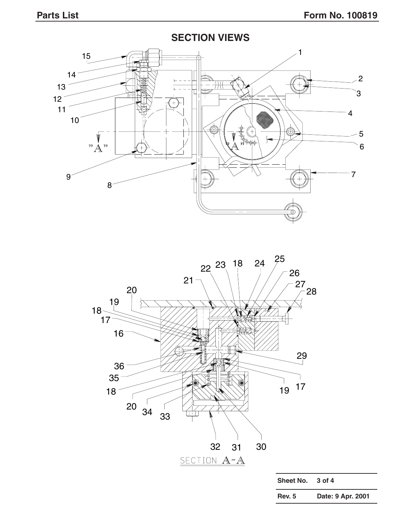$14<sup>2</sup>$  $\sqrt{2}$  $13<sup>-</sup>$   $12<sup>2</sup>$   $^{99}$   $\AA$   $^{99}$   $\overline{\mathbb{A}}$  



| Sheet No.     | $3$ of $4$        |
|---------------|-------------------|
| <b>Rev. 5</b> | Date: 9 Apr. 2001 |

## **SECTION VIEWS**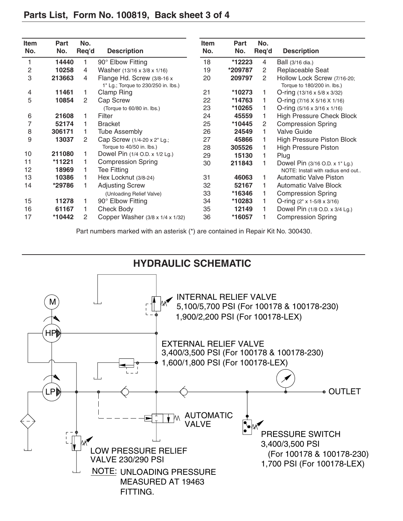| <b>Item</b><br>No. | <b>Part</b><br>No. | No.<br>Req'd          | <b>Description</b>                                                | <b>Item</b><br>No. | Part<br>No. | No.<br>Req'd | <b>Description</b>                                         |
|--------------------|--------------------|-----------------------|-------------------------------------------------------------------|--------------------|-------------|--------------|------------------------------------------------------------|
|                    | 14440              | 1                     | 90° Elbow Fitting                                                 | 18                 | *12223      | 4            | Ball (3/16 dia.)                                           |
| 2                  | 10258              | 4                     | Washer (13/16 x 3/8 x 1/16)                                       | 19                 | *209787     | 2            | Replaceable Seat                                           |
| 3                  | 213663             | 4                     | Flange Hd. Screw (3/8-16 x<br>1" Lg.; Torque to 230/250 in. lbs.) | 20                 | 209797      | 2            | Hollow Lock Screw (7/16-20;<br>Torque to 180/200 in. lbs.) |
| 4                  | 11461              | 1.                    | Clamp Ring                                                        | 21                 | *10273      |              | O-ring $(13/16 \times 5/8 \times 3/32)$                    |
| 5                  | 10854              | $\mathbf{2}^{\prime}$ | Cap Screw                                                         | 22                 | *14763      |              | O-ring $(7/16 \times 5/16 \times 1/16)$                    |
|                    |                    |                       | (Torque to 60/80 in. lbs.)                                        | 23                 | *10265      |              | O-ring (5/16 x 3/16 x 1/16)                                |
| 6                  | 21608              | 1                     | Filter                                                            | 24                 | 45559       |              | <b>High Pressure Check Block</b>                           |
| 7                  | 52174              | 1                     | <b>Bracket</b>                                                    | 25                 | *10445      | 2            | <b>Compression Spring</b>                                  |
| 8                  | 306171             | 1.                    | <b>Tube Assembly</b>                                              | 26                 | 24549       |              | <b>Valve Guide</b>                                         |
| 9                  | 13037              | 2                     | Cap Screw (1/4-20 x 2" Lg.;                                       | 27                 | 45866       |              | High Pressure Piston Block                                 |
|                    |                    |                       | Torque to 40/50 in. lbs.)                                         | 28                 | 305526      |              | <b>High Pressure Piston</b>                                |
| 10                 | 211080             | 1.                    | Dowel Pin (1/4 O.D. x 1/2 Lg.)                                    | 29                 | 15130       |              | Plug                                                       |
| 11                 | *11221             | 1                     | <b>Compression Spring</b>                                         | 30                 | 211843      |              | Dowel Pin (3/16 O.D. x 1" Lg.)                             |
| 12                 | 18969              | 1.                    | <b>Tee Fitting</b>                                                |                    |             |              | NOTE: Install with radius end out                          |
| 13                 | 10386              | 1.                    | Hex Locknut (3/8-24)                                              | 31                 | 46063       |              | <b>Automatic Valve Piston</b>                              |
| 14                 | *29786             | 1                     | <b>Adjusting Screw</b>                                            | 32                 | 52167       |              | <b>Automatic Valve Block</b>                               |
|                    |                    |                       | (Unloading Relief Valve)                                          | 33                 | *16346      |              | <b>Compression Spring</b>                                  |
| 15                 | 11278              | 1                     | 90° Elbow Fitting                                                 | 34                 | *10283      |              | O-ring $(2" \times 1.5/8 \times 3/16)$                     |
| 16                 | 61167              | 1                     | <b>Check Body</b>                                                 | 35                 | 12149       |              | Dowel Pin (1/8 O.D. x 3/4 Lg.)                             |
| 17                 | *10442             | 2                     | Copper Washer (3/8 x 1/4 x 1/32)                                  | 36                 | *16057      |              | <b>Compression Spring</b>                                  |

Part numbers marked with an asterisk (\*) are contained in Repair Kit No. 300430.

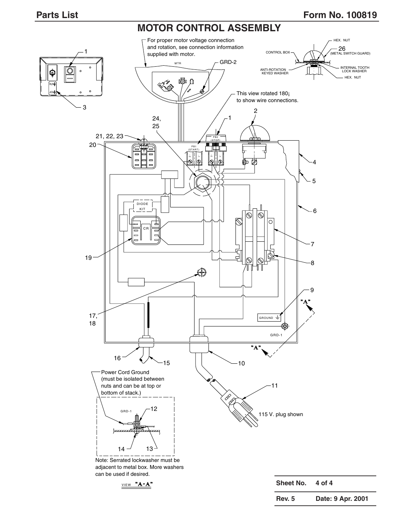#### **Parts List** Form No. 100819

#### **MOTOR CONTROL ASSEMBLY**